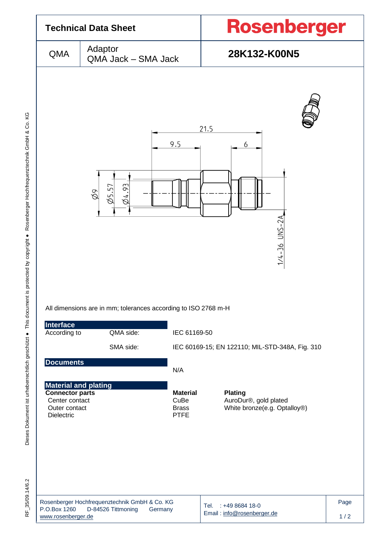

Dieses Dokument ist urheberrechtlich geschützt ● This document is protected by copyright ● Rosenberger Hochfrequenztechnik GmbH & Co. KG F\_35/09.14/6.2 Dieses Dokument ist urheberrechtlich geschützt ● This document is protected by copyright ● Rosenberger Hochfrequenztechnik GmbH & Co. KG

RF 35/09.14/6.2